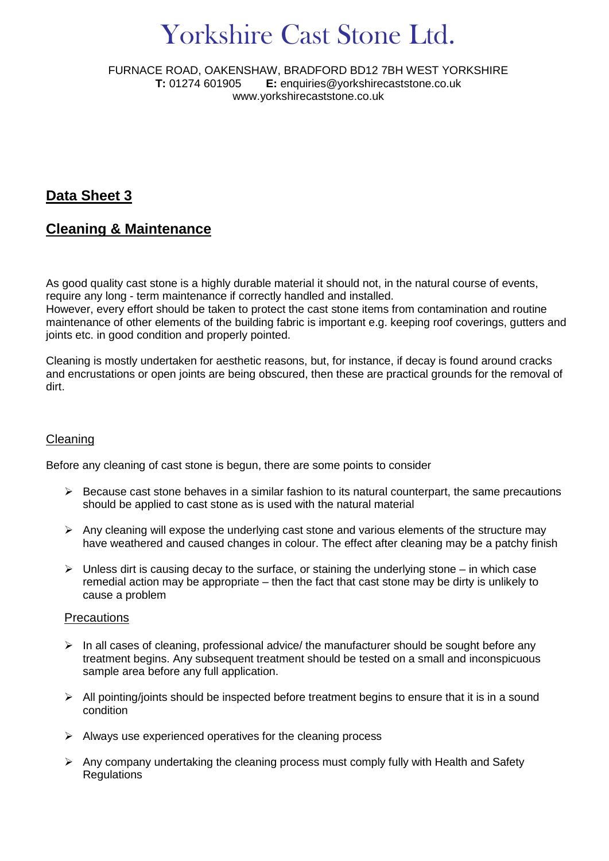# Yorkshire Cast Stone Ltd.

FURNACE ROAD, OAKENSHAW, BRADFORD BD12 7BH WEST YORKSHIRE **T:** 01274 601905 **E:** enquiries@yorkshirecaststone.co.uk www.yorkshirecaststone.co.uk

# **Data Sheet 3**

# **Cleaning & Maintenance**

As good quality cast stone is a highly durable material it should not, in the natural course of events, require any long - term maintenance if correctly handled and installed.

However, every effort should be taken to protect the cast stone items from contamination and routine maintenance of other elements of the building fabric is important e.g. keeping roof coverings, gutters and joints etc. in good condition and properly pointed.

Cleaning is mostly undertaken for aesthetic reasons, but, for instance, if decay is found around cracks and encrustations or open joints are being obscured, then these are practical grounds for the removal of dirt.

### Cleaning

Before any cleaning of cast stone is begun, there are some points to consider

- $\triangleright$  Because cast stone behaves in a similar fashion to its natural counterpart, the same precautions should be applied to cast stone as is used with the natural material
- $\triangleright$  Any cleaning will expose the underlying cast stone and various elements of the structure may have weathered and caused changes in colour. The effect after cleaning may be a patchy finish
- $\triangleright$  Unless dirt is causing decay to the surface, or staining the underlying stone in which case remedial action may be appropriate – then the fact that cast stone may be dirty is unlikely to cause a problem

#### **Precautions**

- $\triangleright$  In all cases of cleaning, professional advice/ the manufacturer should be sought before any treatment begins. Any subsequent treatment should be tested on a small and inconspicuous sample area before any full application.
- $\triangleright$  All pointing/joints should be inspected before treatment begins to ensure that it is in a sound condition
- $\triangleright$  Always use experienced operatives for the cleaning process
- $\triangleright$  Any company undertaking the cleaning process must comply fully with Health and Safety **Regulations**